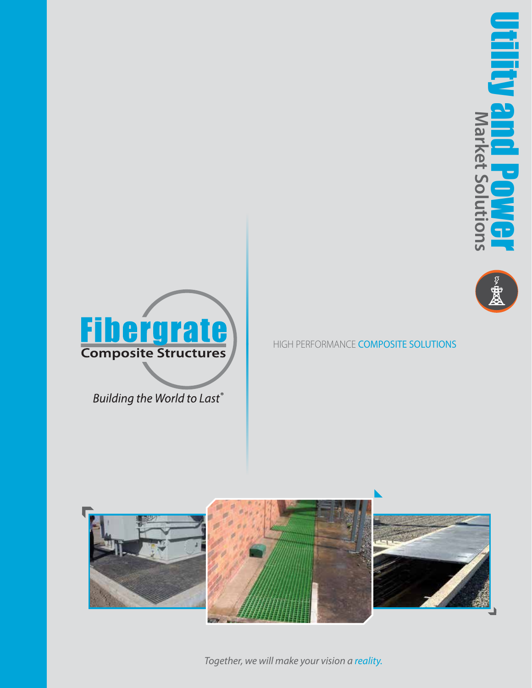





Building the World to Last®





*Together, we will make your vision a reality.*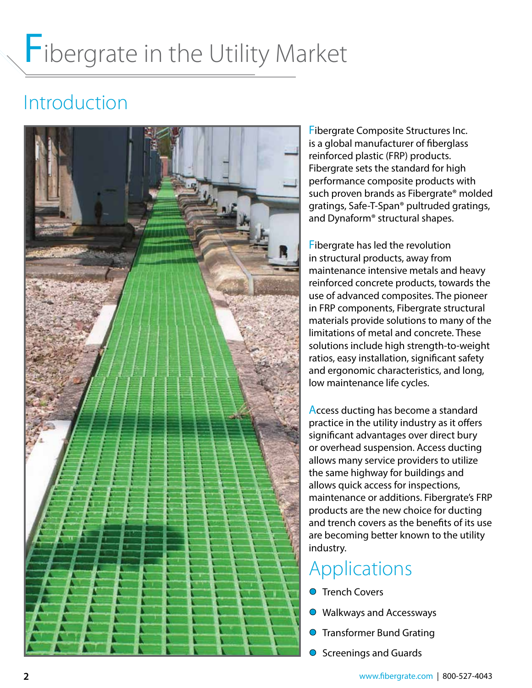### Introduction



Fibergrate Composite Structures Inc. is a global manufacturer of fiberglass reinforced plastic (FRP) products. Fibergrate sets the standard for high performance composite products with such proven brands as Fibergrate® molded gratings, Safe-T-Span® pultruded gratings, and Dynaform® structural shapes.

Fibergrate has led the revolution in structural products, away from maintenance intensive metals and heavy reinforced concrete products, towards the use of advanced composites. The pioneer in FRP components, Fibergrate structural materials provide solutions to many of the limitations of metal and concrete. These solutions include high strength-to-weight ratios, easy installation, significant safety and ergonomic characteristics, and long, low maintenance life cycles.

Access ducting has become a standard practice in the utility industry as it offers significant advantages over direct bury or overhead suspension. Access ducting allows many service providers to utilize the same highway for buildings and allows quick access for inspections, maintenance or additions. Fibergrate's FRP products are the new choice for ducting and trench covers as the benefits of its use are becoming better known to the utility industry.

### Applications

- **O** Trench Covers
- Walkways and Accessways
- **O** Transformer Bund Grating
- **O** Screenings and Guards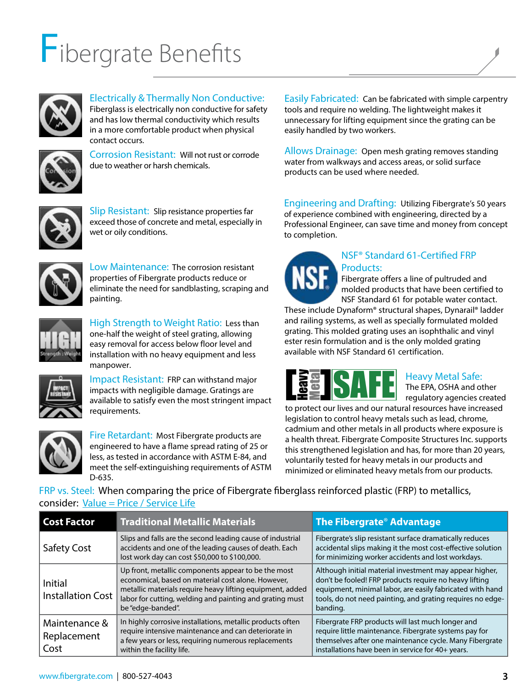## Fibergrate Benefits



Electrically & Thermally Non Conductive:

Fiberglass is electrically non conductive for safety and has low thermal conductivity which results in a more comfortable product when physical contact occurs.



Corrosion Resistant: Will not rust or corrode due to weather or harsh chemicals.



Slip Resistant: Slip resistance properties far exceed those of concrete and metal, especially in wet or oily conditions.



Low Maintenance: The corrosion resistant properties of Fibergrate products reduce or eliminate the need for sandblasting, scraping and painting.



High Strength to Weight Ratio: Less than one-half the weight of steel grating, allowing easy removal for access below floor level and installation with no heavy equipment and less manpower.



Impact Resistant: FRP can withstand major impacts with negligible damage. Gratings are available to satisfy even the most stringent impact requirements.



Fire Retardant: Most Fibergrate products are engineered to have a flame spread rating of 25 or less, as tested in accordance with ASTM E-84, and meet the self-extinguishing requirements of ASTM D-635.

Easily Fabricated: Can be fabricated with simple carpentry tools and require no welding. The lightweight makes it unnecessary for lifting equipment since the grating can be easily handled by two workers.

Allows Drainage: Open mesh grating removes standing water from walkways and access areas, or solid surface products can be used where needed.

Engineering and Drafting: Utilizing Fibergrate's 50 years of experience combined with engineering, directed by a Professional Engineer, can save time and money from concept to completion.



#### NSF® Standard 61-Certified FRP Products:

Fibergrate offers a line of pultruded and molded products that have been certified to NSF Standard 61 for potable water contact.

These include Dynaform® structural shapes, Dynarail® ladder and railing systems, as well as specially formulated molded grating. This molded grating uses an isophthalic and vinyl ester resin formulation and is the only molded grating available with NSF Standard 61 certification.



#### Heavy Metal Safe:

The EPA, OSHA and other regulatory agencies created

to protect our lives and our natural resources have increased legislation to control heavy metals such as lead, chrome, cadmium and other metals in all products where exposure is a health threat. Fibergrate Composite Structures Inc. supports this strengthened legislation and has, for more than 20 years, voluntarily tested for heavy metals in our products and minimized or eliminated heavy metals from our products.

FRP vs. Steel: When comparing the price of Fibergrate fiberglass reinforced plastic (FRP) to metallics, consider: Value = Price / Service Life

| <b>Cost Factor</b>                   | <b>Traditional Metallic Materials</b>                                                                                                                                                                                                                   | The Fibergrate <sup>®</sup> Advantage                                                                                                                                                                                                                    |
|--------------------------------------|---------------------------------------------------------------------------------------------------------------------------------------------------------------------------------------------------------------------------------------------------------|----------------------------------------------------------------------------------------------------------------------------------------------------------------------------------------------------------------------------------------------------------|
| <b>Safety Cost</b>                   | Slips and falls are the second leading cause of industrial<br>accidents and one of the leading causes of death. Each<br>lost work day can cost \$50,000 to \$100,000.                                                                                   | Fibergrate's slip resistant surface dramatically reduces<br>accidental slips making it the most cost-effective solution<br>for minimizing worker accidents and lost workdays.                                                                            |
| Initial<br><b>Installation Cost</b>  | Up front, metallic components appear to be the most<br>economical, based on material cost alone. However,<br>metallic materials require heavy lifting equipment, added<br>labor for cutting, welding and painting and grating must<br>be "edge-banded". | Although initial material investment may appear higher,<br>don't be fooled! FRP products require no heavy lifting<br>equipment, minimal labor, are easily fabricated with hand<br>tools, do not need painting, and grating requires no edge-<br>banding. |
| Maintenance &<br>Replacement<br>Cost | In highly corrosive installations, metallic products often<br>require intensive maintenance and can deteriorate in<br>a few years or less, requiring numerous replacements<br>within the facility life.                                                 | Fibergrate FRP products will last much longer and<br>require little maintenance. Fibergrate systems pay for<br>themselves after one maintenance cycle. Many Fibergrate<br>installations have been in service for 40+ years.                              |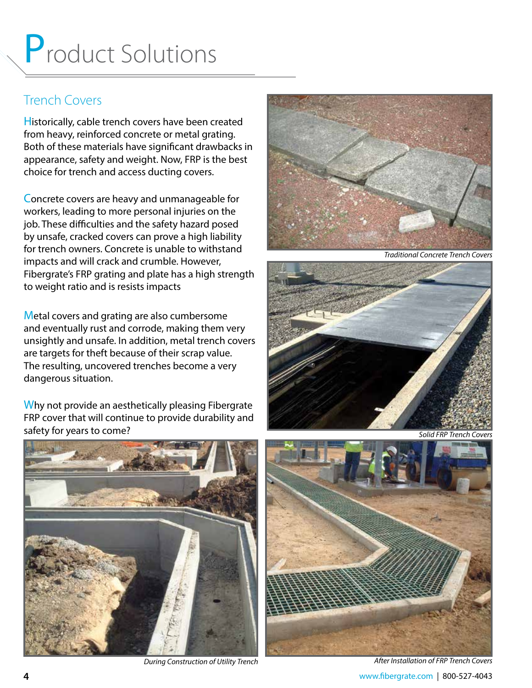### Trench Covers

Historically, cable trench covers have been created from heavy, reinforced concrete or metal grating. Both of these materials have significant drawbacks in appearance, safety and weight. Now, FRP is the best choice for trench and access ducting covers.

Concrete covers are heavy and unmanageable for workers, leading to more personal injuries on the job. These difficulties and the safety hazard posed by unsafe, cracked covers can prove a high liability for trench owners. Concrete is unable to withstand impacts and will crack and crumble. However, Fibergrate's FRP grating and plate has a high strength to weight ratio and is resists impacts

Metal covers and grating are also cumbersome and eventually rust and corrode, making them very unsightly and unsafe. In addition, metal trench covers are targets for theft because of their scrap value. The resulting, uncovered trenches become a very dangerous situation.

Why not provide an aesthetically pleasing Fibergrate FRP cover that will continue to provide durability and safety for years to come?



*During Construction of Utility Trench*



*Traditional Concrete Trench Covers*



*Solid FRP Trench Covers*



**4** www.fibergrate.com | 800-527-4043 *After Installation of FRP Trench Covers*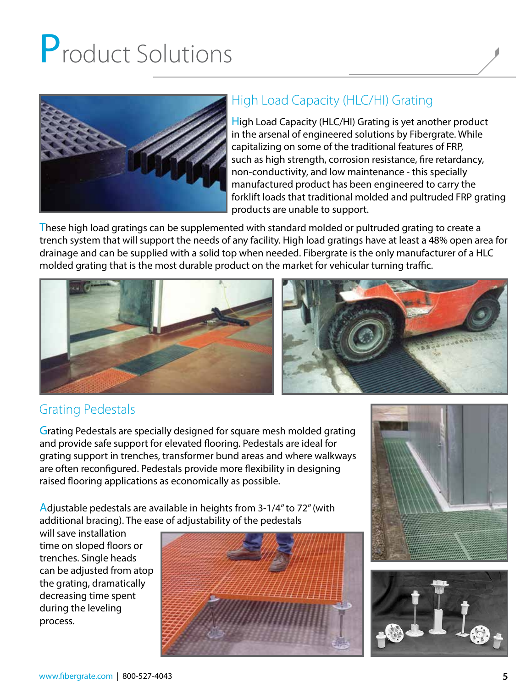

### High Load Capacity (HLC/HI) Grating

High Load Capacity (HLC/HI) Grating is yet another product in the arsenal of engineered solutions by Fibergrate. While capitalizing on some of the traditional features of FRP, such as high strength, corrosion resistance, fire retardancy, non-conductivity, and low maintenance - this specially manufactured product has been engineered to carry the forklift loads that traditional molded and pultruded FRP grating products are unable to support.

These high load gratings can be supplemented with standard molded or pultruded grating to create a trench system that will support the needs of any facility. High load gratings have at least a 48% open area for drainage and can be supplied with a solid top when needed. Fibergrate is the only manufacturer of a HLC molded grating that is the most durable product on the market for vehicular turning traffic.



### Grating Pedestals

Grating Pedestals are specially designed for square mesh molded grating and provide safe support for elevated flooring. Pedestals are ideal for grating support in trenches, transformer bund areas and where walkways are often reconfigured. Pedestals provide more flexibility in designing raised flooring applications as economically as possible.

Adjustable pedestals are available in heights from 3-1/4" to 72" (with additional bracing). The ease of adjustability of the pedestals

will save installation time on sloped floors or trenches. Single heads can be adjusted from atop the grating, dramatically decreasing time spent during the leveling process.





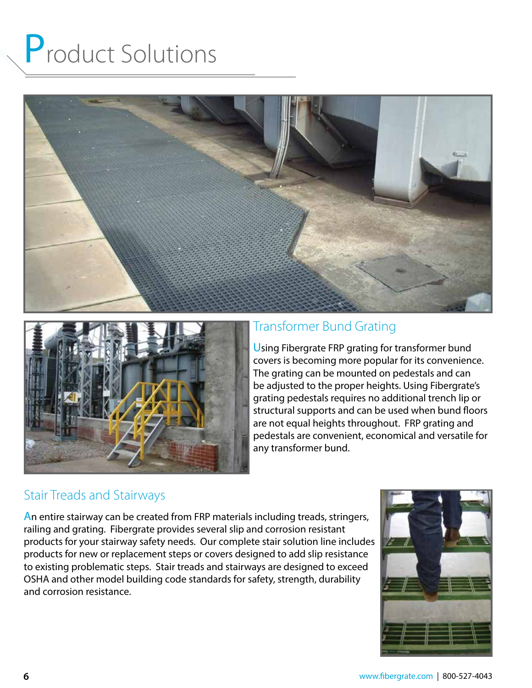



### Transformer Bund Grating

Using Fibergrate FRP grating for transformer bund covers is becoming more popular for its convenience. The grating can be mounted on pedestals and can be adjusted to the proper heights. Using Fibergrate's grating pedestals requires no additional trench lip or structural supports and can be used when bund floors are not equal heights throughout. FRP grating and pedestals are convenient, economical and versatile for any transformer bund.

### Stair Treads and Stairways

An entire stairway can be created from FRP materials including treads, stringers, railing and grating. Fibergrate provides several slip and corrosion resistant products for your stairway safety needs. Our complete stair solution line includes products for new or replacement steps or covers designed to add slip resistance to existing problematic steps. Stair treads and stairways are designed to exceed OSHA and other model building code standards for safety, strength, durability and corrosion resistance.

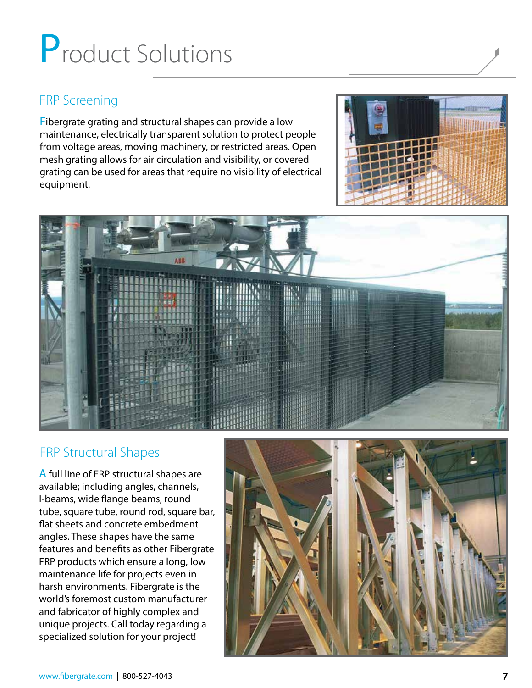### FRP Screening

Fibergrate grating and structural shapes can provide a low maintenance, electrically transparent solution to protect people from voltage areas, moving machinery, or restricted areas. Open mesh grating allows for air circulation and visibility, or covered grating can be used for areas that require no visibility of electrical equipment.





#### FRP Structural Shapes

A full line of FRP structural shapes are available; including angles, channels, I-beams, wide flange beams, round tube, square tube, round rod, square bar, flat sheets and concrete embedment angles. These shapes have the same features and benefits as other Fibergrate FRP products which ensure a long, low maintenance life for projects even in harsh environments. Fibergrate is the world's foremost custom manufacturer and fabricator of highly complex and unique projects. Call today regarding a specialized solution for your project!